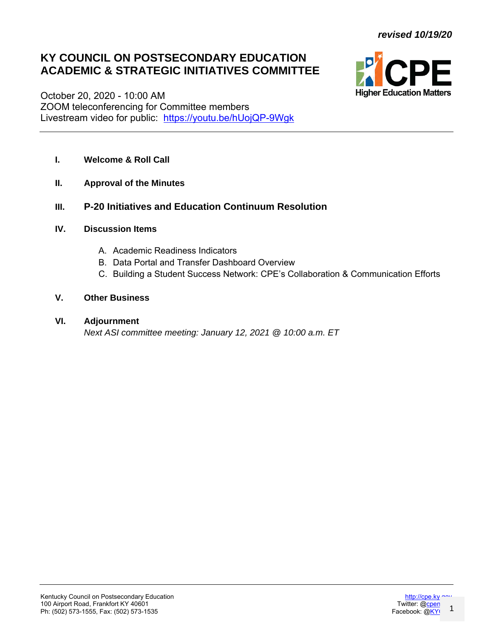# **KY COUNCIL ON POSTSECONDARY EDUCATION ACADEMIC & STRATEGIC INITIATIVES COMMITTEE**



October 20, 2020 - 10:00 AM ZOOM teleconferencing for Committee members Livestream video for public: <https://youtu.be/hUojQP-9Wgk>

- **I. Welcome & Roll Call**
- **II. Approval of the Minutes**
- **III. P-20 Initiatives and Education Continuum Resolution**
- **IV. Discussion Items**
	- A. Academic Readiness Indicators
	- B. Data Portal and Transfer Dashboard Overview
	- C. Building a Student Success Network: CPE's Collaboration & Communication Efforts

## **V. Other Business**

### **VI. Adjournment**

*Next ASI committee meeting: January 12, 2021 @ 10:00 a.m. ET*

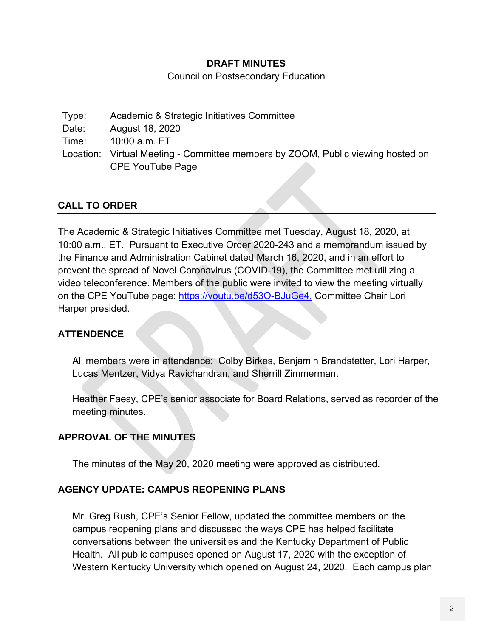### **DRAFT MINUTES**

Council on Postsecondary Education

| Type: | Academic & Strategic Initiatives Committee                                      |
|-------|---------------------------------------------------------------------------------|
| Date: | August 18, 2020                                                                 |
| Time: | 10:00 a.m. ET                                                                   |
|       | Location: Virtual Meeting - Committee members by ZOOM, Public viewing hosted on |
|       | <b>CPE YouTube Page</b>                                                         |

# **CALL TO ORDER**

The Academic & Strategic Initiatives Committee met Tuesday, August 18, 2020, at 10:00 a.m., ET. Pursuant to Executive Order 2020-243 and a memorandum issued by the Finance and Administration Cabinet dated March 16, 2020, and in an effort to prevent the spread of Novel Coronavirus (COVID-19), the Committee met utilizing a video teleconference. Members of the public were invited to view the meeting virtually on the CPE YouTube page: [https://youtu.be/d53O-BJuGe4.](https://youtu.be/d53O-BJuGe4) Committee Chair Lori Harper presided.

## **ATTENDENCE**

All members were in attendance: Colby Birkes, Benjamin Brandstetter, Lori Harper, Lucas Mentzer, Vidya Ravichandran, and Sherrill Zimmerman.

Heather Faesy, CPE's senior associate for Board Relations, served as recorder of the meeting minutes.

# **APPROVAL OF THE MINUTES**

The minutes of the May 20, 2020 meeting were approved as distributed.

## **AGENCY UPDATE: CAMPUS REOPENING PLANS**

Mr. Greg Rush, CPE's Senior Fellow, updated the committee members on the campus reopening plans and discussed the ways CPE has helped facilitate conversations between the universities and the Kentucky Department of Public Health. All public campuses opened on August 17, 2020 with the exception of Western Kentucky University which opened on August 24, 2020. Each campus plan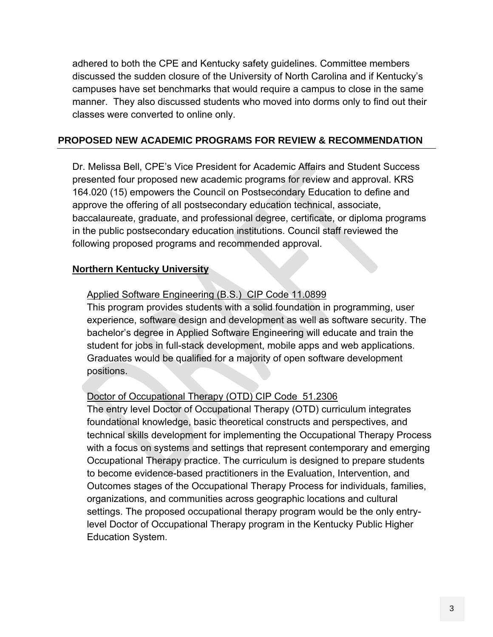adhered to both the CPE and Kentucky safety guidelines. Committee members discussed the sudden closure of the University of North Carolina and if Kentucky's campuses have set benchmarks that would require a campus to close in the same manner. They also discussed students who moved into dorms only to find out their classes were converted to online only.

### **PROPOSED NEW ACADEMIC PROGRAMS FOR REVIEW & RECOMMENDATION**

Dr. Melissa Bell, CPE's Vice President for Academic Affairs and Student Success presented four proposed new academic programs for review and approval. KRS 164.020 (15) empowers the Council on Postsecondary Education to define and approve the offering of all postsecondary education technical, associate, baccalaureate, graduate, and professional degree, certificate, or diploma programs in the public postsecondary education institutions. Council staff reviewed the following proposed programs and recommended approval.

### **Northern Kentucky University**

### Applied Software Engineering (B.S.) CIP Code 11.0899

This program provides students with a solid foundation in programming, user experience, software design and development as well as software security. The bachelor's degree in Applied Software Engineering will educate and train the student for jobs in full-stack development, mobile apps and web applications. Graduates would be qualified for a majority of open software development positions.

### Doctor of Occupational Therapy (OTD) CIP Code 51.2306

The entry level Doctor of Occupational Therapy (OTD) curriculum integrates foundational knowledge, basic theoretical constructs and perspectives, and technical skills development for implementing the Occupational Therapy Process with a focus on systems and settings that represent contemporary and emerging Occupational Therapy practice. The curriculum is designed to prepare students to become evidence-based practitioners in the Evaluation, Intervention, and Outcomes stages of the Occupational Therapy Process for individuals, families, organizations, and communities across geographic locations and cultural settings. The proposed occupational therapy program would be the only entrylevel Doctor of Occupational Therapy program in the Kentucky Public Higher Education System.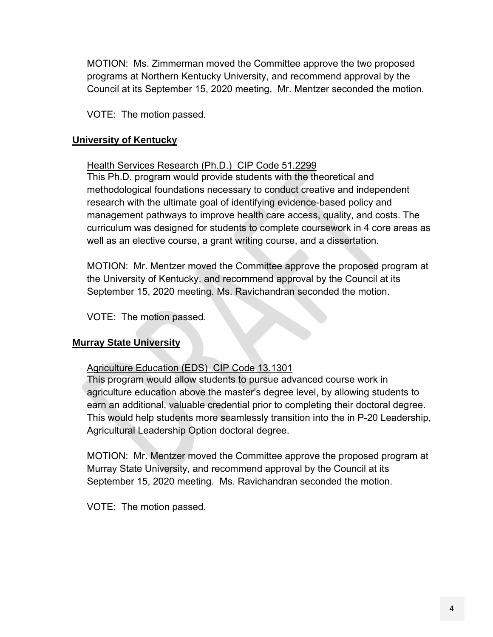MOTION: Ms. Zimmerman moved the Committee approve the two proposed programs at Northern Kentucky University, and recommend approval by the Council at its September 15, 2020 meeting. Mr. Mentzer seconded the motion.

VOTE: The motion passed.

### **University of Kentucky**

### Health Services Research (Ph.D.) CIP Code 51.2299

This Ph.D. program would provide students with the theoretical and methodological foundations necessary to conduct creative and independent research with the ultimate goal of identifying evidence-based policy and management pathways to improve health care access, quality, and costs. The curriculum was designed for students to complete coursework in 4 core areas as well as an elective course, a grant writing course, and a dissertation.

MOTION: Mr. Mentzer moved the Committee approve the proposed program at the University of Kentucky, and recommend approval by the Council at its September 15, 2020 meeting. Ms. Ravichandran seconded the motion.

VOTE: The motion passed.

## **Murray State University**

## Agriculture Education (EDS) CIP Code 13.1301

This program would allow students to pursue advanced course work in agriculture education above the master's degree level, by allowing students to earn an additional, valuable credential prior to completing their doctoral degree. This would help students more seamlessly transition into the in P-20 Leadership, Agricultural Leadership Option doctoral degree.

MOTION: Mr. Mentzer moved the Committee approve the proposed program at Murray State University, and recommend approval by the Council at its September 15, 2020 meeting. Ms. Ravichandran seconded the motion.

VOTE: The motion passed.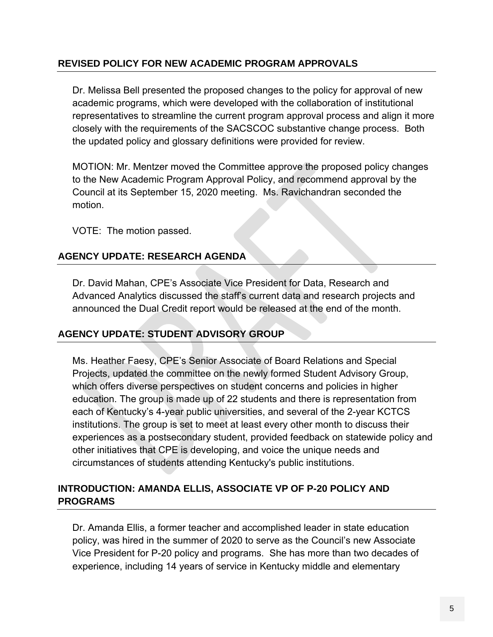# **REVISED POLICY FOR NEW ACADEMIC PROGRAM APPROVALS**

Dr. Melissa Bell presented the proposed changes to the policy for approval of new academic programs, which were developed with the collaboration of institutional representatives to streamline the current program approval process and align it more closely with the requirements of the SACSCOC substantive change process. Both the updated policy and glossary definitions were provided for review.

MOTION: Mr. Mentzer moved the Committee approve the proposed policy changes to the New Academic Program Approval Policy, and recommend approval by the Council at its September 15, 2020 meeting. Ms. Ravichandran seconded the motion.

VOTE: The motion passed.

# **AGENCY UPDATE: RESEARCH AGENDA**

Dr. David Mahan, CPE's Associate Vice President for Data, Research and Advanced Analytics discussed the staff's current data and research projects and announced the Dual Credit report would be released at the end of the month.

# **AGENCY UPDATE: STUDENT ADVISORY GROUP**

Ms. Heather Faesy, CPE's Senior Associate of Board Relations and Special Projects, updated the committee on the newly formed Student Advisory Group, which offers diverse perspectives on student concerns and policies in higher education. The group is made up of 22 students and there is representation from each of Kentucky's 4-year public universities, and several of the 2-year KCTCS institutions. The group is set to meet at least every other month to discuss their experiences as a postsecondary student, provided feedback on statewide policy and other initiatives that CPE is developing, and voice the unique needs and circumstances of students attending Kentucky's public institutions.

# **INTRODUCTION: AMANDA ELLIS, ASSOCIATE VP OF P-20 POLICY AND PROGRAMS**

Dr. Amanda Ellis, a former teacher and accomplished leader in state education policy, was hired in the summer of 2020 to serve as the Council's new Associate Vice President for P-20 policy and programs. She has more than two decades of experience, including 14 years of service in Kentucky middle and elementary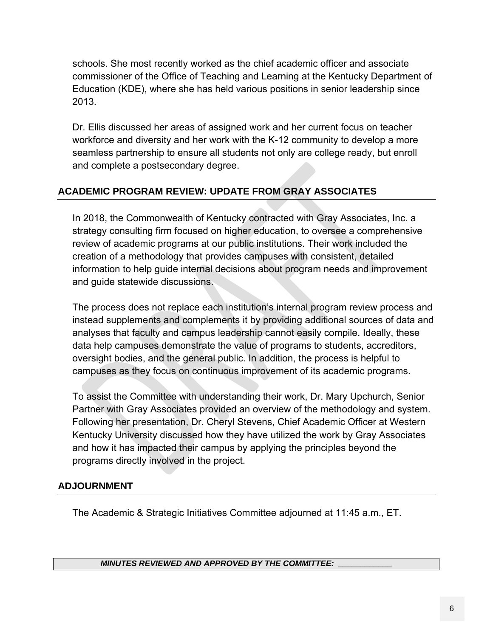schools. She most recently worked as the chief academic officer and associate commissioner of the Office of Teaching and Learning at the Kentucky Department of Education (KDE), where she has held various positions in senior leadership since 2013.

Dr. Ellis discussed her areas of assigned work and her current focus on teacher workforce and diversity and her work with the K-12 community to develop a more seamless partnership to ensure all students not only are college ready, but enroll and complete a postsecondary degree.

# **ACADEMIC PROGRAM REVIEW: UPDATE FROM GRAY ASSOCIATES**

In 2018, the Commonwealth of Kentucky contracted with Gray Associates, Inc. a strategy consulting firm focused on higher education, to oversee a comprehensive review of academic programs at our public institutions. Their work included the creation of a methodology that provides campuses with consistent, detailed information to help guide internal decisions about program needs and improvement and guide statewide discussions.

The process does not replace each institution's internal program review process and instead supplements and complements it by providing additional sources of data and analyses that faculty and campus leadership cannot easily compile. Ideally, these data help campuses demonstrate the value of programs to students, accreditors, oversight bodies, and the general public. In addition, the process is helpful to campuses as they focus on continuous improvement of its academic programs.

To assist the Committee with understanding their work, Dr. Mary Upchurch, Senior Partner with Gray Associates provided an overview of the methodology and system. Following her presentation, Dr. Cheryl Stevens, Chief Academic Officer at Western Kentucky University discussed how they have utilized the work by Gray Associates and how it has impacted their campus by applying the principles beyond the programs directly involved in the project.

# **ADJOURNMENT**

The Academic & Strategic Initiatives Committee adjourned at 11:45 a.m., ET.

### *MINUTES REVIEWED AND APPROVED BY THE COMMITTEE: \_\_\_\_\_\_\_\_\_\_\_\_*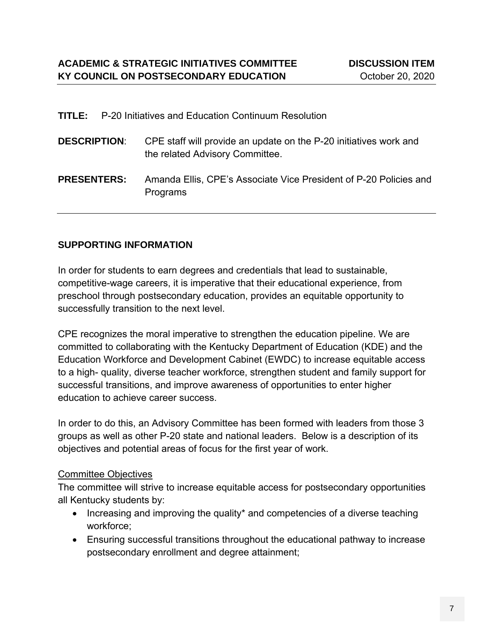|                     | <b>TITLE:</b> P-20 Initiatives and Education Continuum Resolution                                    |
|---------------------|------------------------------------------------------------------------------------------------------|
| <b>DESCRIPTION:</b> | CPE staff will provide an update on the P-20 initiatives work and<br>the related Advisory Committee. |
| <b>PRESENTERS:</b>  | Amanda Ellis, CPE's Associate Vice President of P-20 Policies and<br>Programs                        |

# **SUPPORTING INFORMATION**

In order for students to earn degrees and credentials that lead to sustainable, competitive-wage careers, it is imperative that their educational experience, from preschool through postsecondary education, provides an equitable opportunity to successfully transition to the next level.

CPE recognizes the moral imperative to strengthen the education pipeline. We are committed to collaborating with the Kentucky Department of Education (KDE) and the Education Workforce and Development Cabinet (EWDC) to increase equitable access to a high- quality, diverse teacher workforce, strengthen student and family support for successful transitions, and improve awareness of opportunities to enter higher education to achieve career success.

In order to do this, an Advisory Committee has been formed with leaders from those 3 groups as well as other P-20 state and national leaders. Below is a description of its objectives and potential areas of focus for the first year of work.

## Committee Objectives

The committee will strive to increase equitable access for postsecondary opportunities all Kentucky students by:

- Increasing and improving the quality\* and competencies of a diverse teaching workforce;
- Ensuring successful transitions throughout the educational pathway to increase postsecondary enrollment and degree attainment;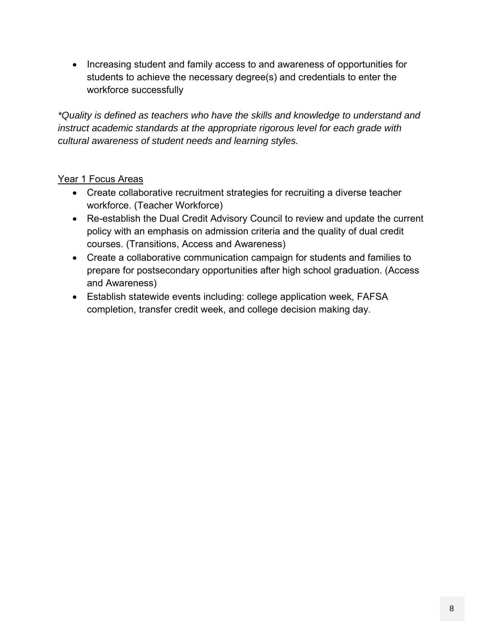• Increasing student and family access to and awareness of opportunities for students to achieve the necessary degree(s) and credentials to enter the workforce successfully

*\*Quality is defined as teachers who have the skills and knowledge to understand and instruct academic standards at the appropriate rigorous level for each grade with cultural awareness of student needs and learning styles.*

# Year 1 Focus Areas

- Create collaborative recruitment strategies for recruiting a diverse teacher workforce. (Teacher Workforce)
- Re-establish the Dual Credit Advisory Council to review and update the current policy with an emphasis on admission criteria and the quality of dual credit courses. (Transitions, Access and Awareness)
- Create a collaborative communication campaign for students and families to prepare for postsecondary opportunities after high school graduation. (Access and Awareness)
- Establish statewide events including: college application week, FAFSA completion, transfer credit week, and college decision making day.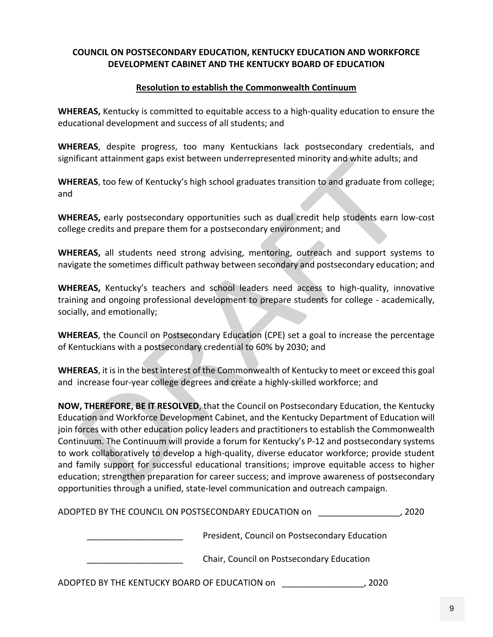#### **COUNCIL ON POSTSECONDARY EDUCATION, KENTUCKY EDUCATION AND WORKFORCE DEVELOPMENT CABINET AND THE KENTUCKY BOARD OF EDUCATION**

#### **Resolution to establish the Commonwealth Continuum**

**WHEREAS,** Kentucky is committed to equitable access to a high-quality education to ensure the educational development and success of all students; and

**WHEREAS**, despite progress, too many Kentuckians lack postsecondary credentials, and significant attainment gaps exist between underrepresented minority and white adults; and

**WHEREAS**, too few of Kentucky's high school graduates transition to and graduate from college; and

**WHEREAS,** early postsecondary opportunities such as dual credit help students earn low-cost college credits and prepare them for a postsecondary environment; and

**WHEREAS,** all students need strong advising, mentoring, outreach and support systems to navigate the sometimes difficult pathway between secondary and postsecondary education; and

**WHEREAS,** Kentucky's teachers and school leaders need access to high-quality, innovative training and ongoing professional development to prepare students for college - academically, socially, and emotionally;

**WHEREAS**, the Council on Postsecondary Education (CPE) set a goal to increase the percentage of Kentuckians with a postsecondary credential to 60% by 2030; and

**WHEREAS**, it is in the best interest of the Commonwealth of Kentucky to meet or exceed this goal and increase four-year college degrees and create a highly-skilled workforce; and

**NOW, THEREFORE, BE IT RESOLVED**, that the Council on Postsecondary Education, the Kentucky Education and Workforce Development Cabinet, and the Kentucky Department of Education will join forces with other education policy leaders and practitioners to establish the Commonwealth Continuum. The Continuum will provide a forum for Kentucky's P-12 and postsecondary systems to work collaboratively to develop a high-quality, diverse educator workforce; provide student and family support for successful educational transitions; improve equitable access to higher education; strengthen preparation for career success; and improve awareness of postsecondary opportunities through a unified, state-level communication and outreach campaign.

| ADOPTED BY THE COUNCIL ON POSTSECONDARY EDUCATION on |                                               | 2020 |
|------------------------------------------------------|-----------------------------------------------|------|
|                                                      | President, Council on Postsecondary Education |      |
|                                                      | Chair, Council on Postsecondary Education     |      |
| ADOPTED BY THE KENTUCKY BOARD OF EDUCATION on        |                                               | 2020 |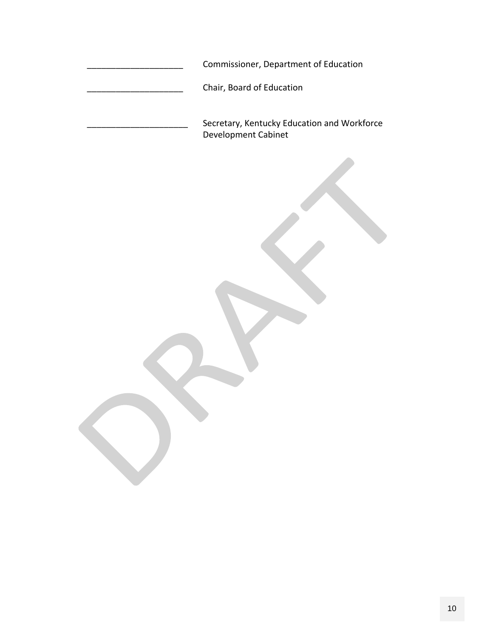| Commissioner, Department of Education                              |
|--------------------------------------------------------------------|
| Chair, Board of Education                                          |
| Secretary, Kentucky Education and Workforce<br>Development Cabinet |
|                                                                    |
|                                                                    |
|                                                                    |
|                                                                    |
|                                                                    |
|                                                                    |
|                                                                    |
|                                                                    |
|                                                                    |
|                                                                    |
|                                                                    |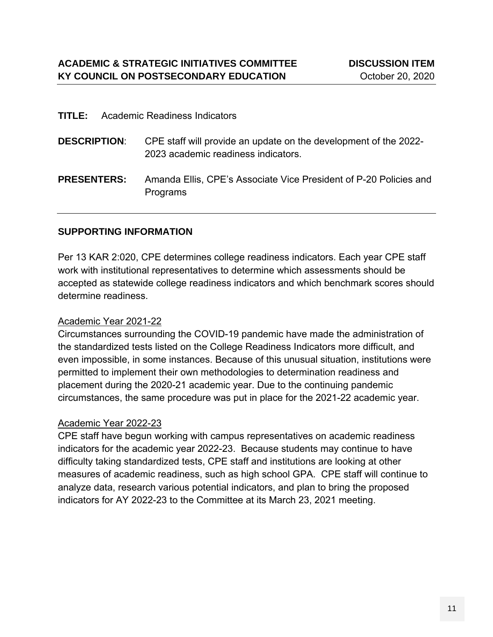|                     | <b>TITLE:</b> Academic Readiness Indicators                                                             |
|---------------------|---------------------------------------------------------------------------------------------------------|
| <b>DESCRIPTION:</b> | CPE staff will provide an update on the development of the 2022-<br>2023 academic readiness indicators. |
| <b>PRESENTERS:</b>  | Amanda Ellis, CPE's Associate Vice President of P-20 Policies and<br><b>Programs</b>                    |

### **SUPPORTING INFORMATION**

Per 13 KAR 2:020, CPE determines college readiness indicators. Each year CPE staff work with institutional representatives to determine which assessments should be accepted as statewide college readiness indicators and which benchmark scores should determine readiness.

### Academic Year 2021-22

Circumstances surrounding the COVID-19 pandemic have made the administration of the standardized tests listed on the College Readiness Indicators more difficult, and even impossible, in some instances. Because of this unusual situation, institutions were permitted to implement their own methodologies to determination readiness and placement during the 2020-21 academic year. Due to the continuing pandemic circumstances, the same procedure was put in place for the 2021-22 academic year.

### Academic Year 2022-23

CPE staff have begun working with campus representatives on academic readiness indicators for the academic year 2022-23. Because students may continue to have difficulty taking standardized tests, CPE staff and institutions are looking at other measures of academic readiness, such as high school GPA. CPE staff will continue to analyze data, research various potential indicators, and plan to bring the proposed indicators for AY 2022-23 to the Committee at its March 23, 2021 meeting.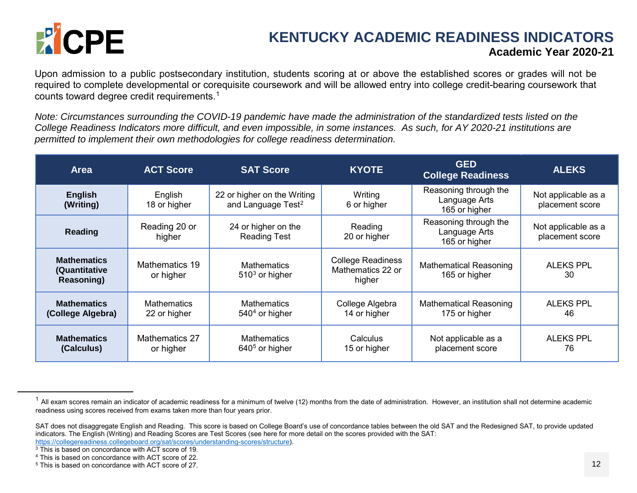

# <span id="page-11-4"></span><span id="page-11-3"></span><span id="page-11-2"></span><span id="page-11-1"></span><span id="page-11-0"></span>**KENTUCKY ACADEMIC READINESS INDICATORS Academic Year 2020-21**

Upon admission to a public postsecondary institution, students scoring at or above the established scores or grades will not be required to complete developmental or corequisite coursework and will be allowed entry into college credit-bearing coursework that counts toward degree credit requirements.[1](#page-11-0)

*Note: Circumstances surrounding the COVID-19 pandemic have made the administration of the standardized tests listed on the College Readiness Indicators more difficult, and even impossible, in some instances. As such, for AY 2020-21 institutions are permitted to implement their own methodologies for college readiness determination.*

| <b>Area</b>                                       | <b>ACT Score</b>                   | <b>SAT Score</b>                                              | <b>KYOTE</b>                                            | <b>GED</b><br><b>College Readiness</b>                  | <b>ALEKS</b>                           |
|---------------------------------------------------|------------------------------------|---------------------------------------------------------------|---------------------------------------------------------|---------------------------------------------------------|----------------------------------------|
| <b>English</b><br>(Writing)                       | English<br>18 or higher            | 22 or higher on the Writing<br>and Language Test <sup>2</sup> | Writing<br>6 or higher                                  | Reasoning through the<br>Language Arts<br>165 or higher | Not applicable as a<br>placement score |
| <b>Reading</b>                                    | Reading 20 or<br>higher            | 24 or higher on the<br><b>Reading Test</b>                    | Reading<br>20 or higher                                 | Reasoning through the<br>Language Arts<br>165 or higher | Not applicable as a<br>placement score |
| <b>Mathematics</b><br>(Quantitative<br>Reasoning) | Mathematics 19<br>or higher        | <b>Mathematics</b><br>$5103$ or higher                        | <b>College Readiness</b><br>Mathematics 22 or<br>higher | <b>Mathematical Reasoning</b><br>165 or higher          | <b>ALEKS PPL</b><br>30                 |
| <b>Mathematics</b><br>(College Algebra)           | <b>Mathematics</b><br>22 or higher | <b>Mathematics</b><br>$5404$ or higher                        | College Algebra<br>14 or higher                         | <b>Mathematical Reasoning</b><br>175 or higher          | <b>ALEKS PPL</b><br>46                 |
| <b>Mathematics</b><br>(Calculus)                  | Mathematics 27<br>or higher        | <b>Mathematics</b><br>$6405$ or higher                        | Calculus<br>15 or higher                                | Not applicable as a<br>placement score                  | <b>ALEKS PPL</b><br>76                 |

 $\overline{a}$ 

 $1$  All exam scores remain an indicator of academic readiness for a minimum of twelve (12) months from the date of administration. However, an institution shall not determine academic readiness using scores received from exams taken more than four years prior.

SAT does not disaggregate English and Reading. This score is based on College Board's use of concordance tables between the old SAT and the Redesigned SAT, to provide updated indicators. The English (Writing) and Reading Scores are Test Scores (see here for more detail on the scores provided with the SAT: [https://collegereadiness.collegeboard.org/sat/scores/understanding-scores/structure\)](https://collegereadiness.collegeboard.org/sat/scores/understanding-scores/structure).

<sup>&</sup>lt;sup>3</sup> This is based on concordance with ACT score of 19.

<sup>4</sup> This is based on concordance with ACT score of 22.

<sup>5</sup> This is based on concordance with ACT score of 27.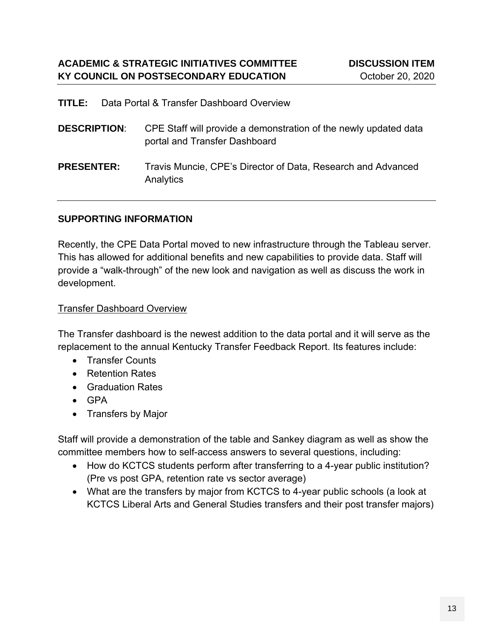| <b>TITLE:</b> Data Portal & Transfer Dashboard Overview |  |
|---------------------------------------------------------|--|
|                                                         |  |

| <b>DESCRIPTION:</b> | CPE Staff will provide a demonstration of the newly updated data<br>portal and Transfer Dashboard |
|---------------------|---------------------------------------------------------------------------------------------------|
| <b>PRESENTER:</b>   | Travis Muncie, CPE's Director of Data, Research and Advanced<br>Analytics                         |

### **SUPPORTING INFORMATION**

Recently, the CPE Data Portal moved to new infrastructure through the Tableau server. This has allowed for additional benefits and new capabilities to provide data. Staff will provide a "walk-through" of the new look and navigation as well as discuss the work in development.

### Transfer Dashboard Overview

The Transfer dashboard is the newest addition to the data portal and it will serve as the replacement to the annual Kentucky Transfer Feedback Report. Its features include:

- Transfer Counts
- Retention Rates
- Graduation Rates
- GPA
- Transfers by Major

Staff will provide a demonstration of the table and Sankey diagram as well as show the committee members how to self-access answers to several questions, including:

- How do KCTCS students perform after transferring to a 4-year public institution? (Pre vs post GPA, retention rate vs sector average)
- What are the transfers by major from KCTCS to 4-year public schools (a look at KCTCS Liberal Arts and General Studies transfers and their post transfer majors)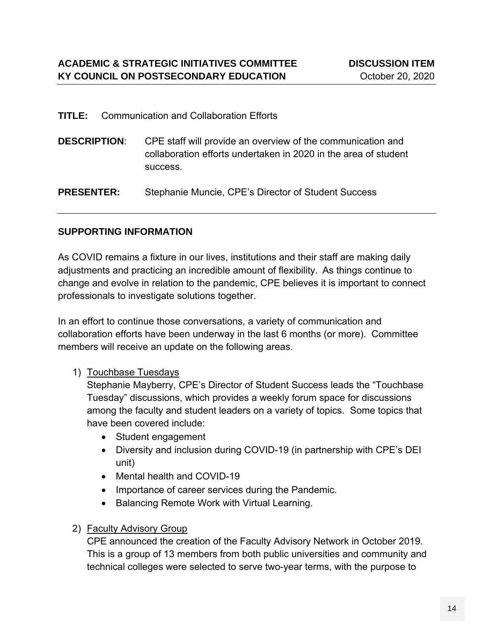success.

| <b>TITLE:</b> Communication and Collaboration Efforts |                                                                                 |  |
|-------------------------------------------------------|---------------------------------------------------------------------------------|--|
|                                                       | <b>DESCRIPTION:</b> CPE staff will provide an overview of the communication and |  |
|                                                       | collaboration efforts undertaken in 2020 in the area of student                 |  |

**PRESENTER:** Stephanie Muncie, CPE's Director of Student Success

### **SUPPORTING INFORMATION**

As COVID remains a fixture in our lives, institutions and their staff are making daily adjustments and practicing an incredible amount of flexibility. As things continue to change and evolve in relation to the pandemic, CPE believes it is important to connect professionals to investigate solutions together.

In an effort to continue those conversations, a variety of communication and collaboration efforts have been underway in the last 6 months (or more). Committee members will receive an update on the following areas.

### 1) Touchbase Tuesdays

Stephanie Mayberry, CPE's Director of Student Success leads the "Touchbase Tuesday" discussions, which provides a weekly forum space for discussions among the faculty and student leaders on a variety of topics. Some topics that have been covered include:

- Student engagement
- Diversity and inclusion during COVID-19 (in partnership with CPE's DEI unit)
- Mental health and COVID-19
- Importance of career services during the Pandemic.
- Balancing Remote Work with Virtual Learning.

## 2) Faculty Advisory Group

CPE announced the creation of the Faculty Advisory Network in October 2019. This is a group of 13 members from both public universities and community and technical colleges were selected to serve two-year terms, with the purpose to